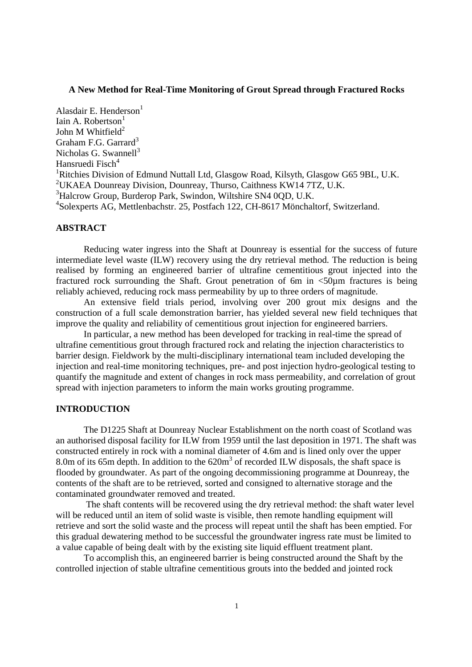### **A New Method for Real-Time Monitoring of Grout Spread through Fractured Rocks**

Alasdair E. Henderson $<sup>1</sup>$ </sup> Iain A. Robertson $<sup>1</sup>$ </sup> John M Whitfield $2$ Graham F.G. Garrard<sup>3</sup> Nicholas G. Swannell $3$ Hansruedi Fisch $<sup>4</sup>$ </sup> <sup>1</sup>Ritchies Division of Edmund Nuttall Ltd, Glasgow Road, Kilsyth, Glasgow G65 9BL, U.K. <sup>2</sup> UKAEA Dounreay Division, Dounreay, Thurso, Caithness KW14 7TZ, U.K. <sup>3</sup>Halcrow Group, Burderop Park, Swindon, Wiltshire SN4 0QD, U.K. 4 Solexperts AG, Mettlenbachstr. 25, Postfach 122, CH-8617 Mönchaltorf, Switzerland.

## **ABSTRACT**

Reducing water ingress into the Shaft at Dounreay is essential for the success of future intermediate level waste (ILW) recovery using the dry retrieval method. The reduction is being realised by forming an engineered barrier of ultrafine cementitious grout injected into the fractured rock surrounding the Shaft. Grout penetration of 6m in <50µm fractures is being reliably achieved, reducing rock mass permeability by up to three orders of magnitude.

An extensive field trials period, involving over 200 grout mix designs and the construction of a full scale demonstration barrier, has yielded several new field techniques that improve the quality and reliability of cementitious grout injection for engineered barriers.

In particular, a new method has been developed for tracking in real-time the spread of ultrafine cementitious grout through fractured rock and relating the injection characteristics to barrier design. Fieldwork by the multi-disciplinary international team included developing the injection and real-time monitoring techniques, pre- and post injection hydro-geological testing to quantify the magnitude and extent of changes in rock mass permeability, and correlation of grout spread with injection parameters to inform the main works grouting programme.

## **INTRODUCTION**

The D1225 Shaft at Dounreay Nuclear Establishment on the north coast of Scotland was an authorised disposal facility for ILW from 1959 until the last deposition in 1971. The shaft was constructed entirely in rock with a nominal diameter of 4.6m and is lined only over the upper 8.0m of its 65m depth. In addition to the  $620m<sup>3</sup>$  of recorded ILW disposals, the shaft space is flooded by groundwater. As part of the ongoing decommissioning programme at Dounreay, the contents of the shaft are to be retrieved, sorted and consigned to alternative storage and the contaminated groundwater removed and treated.

The shaft contents will be recovered using the dry retrieval method: the shaft water level will be reduced until an item of solid waste is visible, then remote handling equipment will retrieve and sort the solid waste and the process will repeat until the shaft has been emptied. For this gradual dewatering method to be successful the groundwater ingress rate must be limited to a value capable of being dealt with by the existing site liquid effluent treatment plant.

To accomplish this, an engineered barrier is being constructed around the Shaft by the controlled injection of stable ultrafine cementitious grouts into the bedded and jointed rock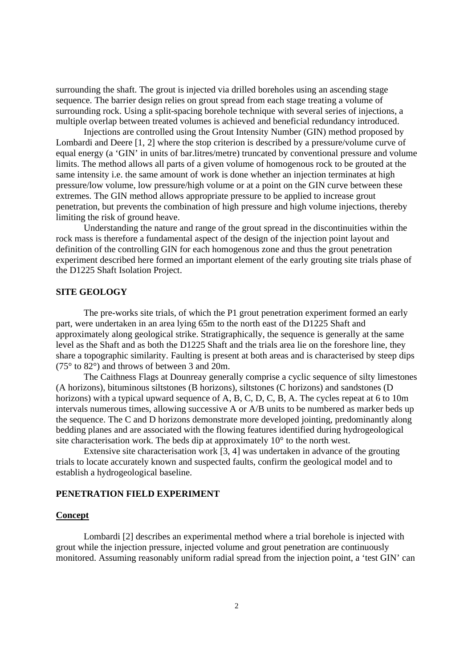surrounding the shaft. The grout is injected via drilled boreholes using an ascending stage sequence. The barrier design relies on grout spread from each stage treating a volume of surrounding rock. Using a split-spacing borehole technique with several series of injections, a multiple overlap between treated volumes is achieved and beneficial redundancy introduced.

Injections are controlled using the Grout Intensity Number (GIN) method proposed by Lombardi and Deere [1, 2] where the stop criterion is described by a pressure/volume curve of equal energy (a 'GIN' in units of bar.litres/metre) truncated by conventional pressure and volume limits. The method allows all parts of a given volume of homogenous rock to be grouted at the same intensity i.e. the same amount of work is done whether an injection terminates at high pressure/low volume, low pressure/high volume or at a point on the GIN curve between these extremes. The GIN method allows appropriate pressure to be applied to increase grout penetration, but prevents the combination of high pressure and high volume injections, thereby limiting the risk of ground heave.

Understanding the nature and range of the grout spread in the discontinuities within the rock mass is therefore a fundamental aspect of the design of the injection point layout and definition of the controlling GIN for each homogenous zone and thus the grout penetration experiment described here formed an important element of the early grouting site trials phase of the D1225 Shaft Isolation Project.

## **SITE GEOLOGY**

The pre-works site trials, of which the P1 grout penetration experiment formed an early part, were undertaken in an area lying 65m to the north east of the D1225 Shaft and approximately along geological strike. Stratigraphically, the sequence is generally at the same level as the Shaft and as both the D1225 Shaft and the trials area lie on the foreshore line, they share a topographic similarity. Faulting is present at both areas and is characterised by steep dips (75° to 82°) and throws of between 3 and 20m.

The Caithness Flags at Dounreay generally comprise a cyclic sequence of silty limestones (A horizons), bituminous siltstones (B horizons), siltstones (C horizons) and sandstones (D horizons) with a typical upward sequence of A, B, C, D, C, B, A. The cycles repeat at 6 to 10m intervals numerous times, allowing successive A or A/B units to be numbered as marker beds up the sequence. The C and D horizons demonstrate more developed jointing, predominantly along bedding planes and are associated with the flowing features identified during hydrogeological site characterisation work. The beds dip at approximately 10° to the north west.

Extensive site characterisation work [3, 4] was undertaken in advance of the grouting trials to locate accurately known and suspected faults, confirm the geological model and to establish a hydrogeological baseline.

### **PENETRATION FIELD EXPERIMENT**

#### **Concept**

Lombardi [2] describes an experimental method where a trial borehole is injected with grout while the injection pressure, injected volume and grout penetration are continuously monitored. Assuming reasonably uniform radial spread from the injection point, a 'test GIN' can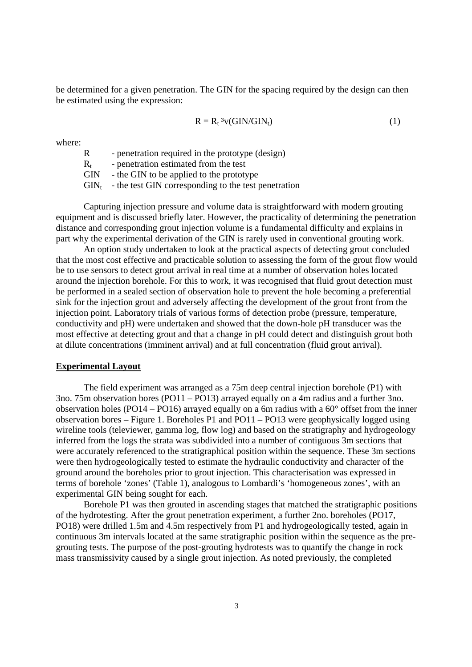be determined for a given penetration. The GIN for the spacing required by the design can then be estimated using the expression:

$$
R = R_t {}^{3}v(GIN/GIN_t)
$$
 (1)

where:

R - penetration required in the prototype (design)

 $R<sub>t</sub>$  - penetration estimated from the test

GIN - the GIN to be applied to the prototype

 $\text{GIN}_t$  - the test GIN corresponding to the test penetration

Capturing injection pressure and volume data is straightforward with modern grouting equipment and is discussed briefly later. However, the practicality of determining the penetration distance and corresponding grout injection volume is a fundamental difficulty and explains in part why the experimental derivation of the GIN is rarely used in conventional grouting work.

An option study undertaken to look at the practical aspects of detecting grout concluded that the most cost effective and practicable solution to assessing the form of the grout flow would be to use sensors to detect grout arrival in real time at a number of observation holes located around the injection borehole. For this to work, it was recognised that fluid grout detection must be performed in a sealed section of observation hole to prevent the hole becoming a preferential sink for the injection grout and adversely affecting the development of the grout front from the injection point. Laboratory trials of various forms of detection probe (pressure, temperature, conductivity and pH) were undertaken and showed that the down-hole pH transducer was the most effective at detecting grout and that a change in pH could detect and distinguish grout both at dilute concentrations (imminent arrival) and at full concentration (fluid grout arrival).

#### **Experimental Layout**

The field experiment was arranged as a 75m deep central injection borehole (P1) with 3no. 75m observation bores (PO11 – PO13) arrayed equally on a 4m radius and a further 3no. observation holes (PO14 – PO16) arrayed equally on a 6m radius with a 60° offset from the inner observation bores – Figure 1. Boreholes P1 and PO11 – PO13 were geophysically logged using wireline tools (televiewer, gamma log, flow log) and based on the stratigraphy and hydrogeology inferred from the logs the strata was subdivided into a number of contiguous 3m sections that were accurately referenced to the stratigraphical position within the sequence. These 3m sections were then hydrogeologically tested to estimate the hydraulic conductivity and character of the ground around the boreholes prior to grout injection. This characterisation was expressed in terms of borehole 'zones' (Table 1), analogous to Lombardi's 'homogeneous zones', with an experimental GIN being sought for each.

Borehole P1 was then grouted in ascending stages that matched the stratigraphic positions of the hydrotesting. After the grout penetration experiment, a further 2no. boreholes (PO17, PO18) were drilled 1.5m and 4.5m respectively from P1 and hydrogeologically tested, again in continuous 3m intervals located at the same stratigraphic position within the sequence as the pregrouting tests. The purpose of the post-grouting hydrotests was to quantify the change in rock mass transmissivity caused by a single grout injection. As noted previously, the completed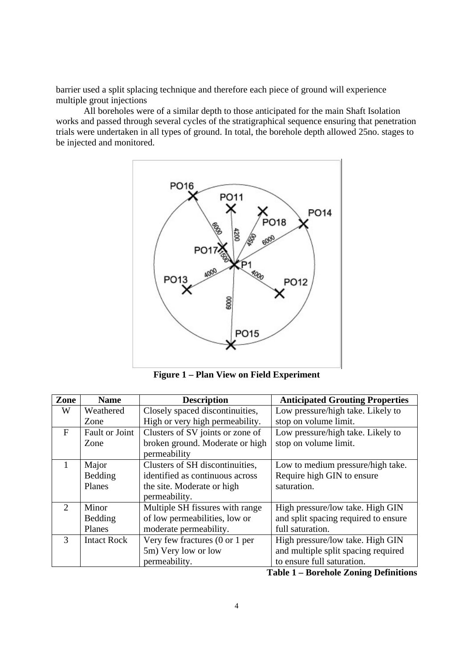barrier used a split splacing technique and therefore each piece of ground will experience multiple grout injections

All boreholes were of a similar depth to those anticipated for the main Shaft Isolation works and passed through several cycles of the stratigraphical sequence ensuring that penetration trials were undertaken in all types of ground. In total, the borehole depth allowed 25no. stages to be injected and monitored.



**Figure 1 – Plan View on Field Experiment**

| Zone                        | <b>Name</b>        | <b>Description</b>                                 | <b>Anticipated Grouting Properties</b> |
|-----------------------------|--------------------|----------------------------------------------------|----------------------------------------|
| W                           | Weathered          | Closely spaced discontinuities,                    | Low pressure/high take. Likely to      |
|                             | Zone               | High or very high permeability.                    | stop on volume limit.                  |
| $\mathbf{F}$                | Fault or Joint     | Clusters of SV joints or zone of                   | Low pressure/high take. Likely to      |
|                             | Zone               | broken ground. Moderate or high                    | stop on volume limit.                  |
|                             |                    | permeability                                       |                                        |
|                             | Major              | Clusters of SH discontinuities,                    | Low to medium pressure/high take.      |
|                             | Bedding            | identified as continuous across                    | Require high GIN to ensure             |
|                             | Planes             | the site. Moderate or high                         | saturation.                            |
|                             |                    | permeability.                                      |                                        |
| $\mathcal{D}_{\mathcal{L}}$ | Minor              | Multiple SH fissures with range                    | High pressure/low take. High GIN       |
|                             | Bedding            | of low permeabilities, low or                      | and split spacing required to ensure   |
|                             | Planes             | moderate permeability.                             | full saturation.                       |
| $\mathcal{R}$               | <b>Intact Rock</b> | Very few fractures $(0 \text{ or } 1 \text{ per})$ | High pressure/low take. High GIN       |
|                             |                    | 5m) Very low or low                                | and multiple split spacing required    |
|                             |                    | permeability.                                      | to ensure full saturation.             |

**Table 1 – Borehole Zoning Definitions**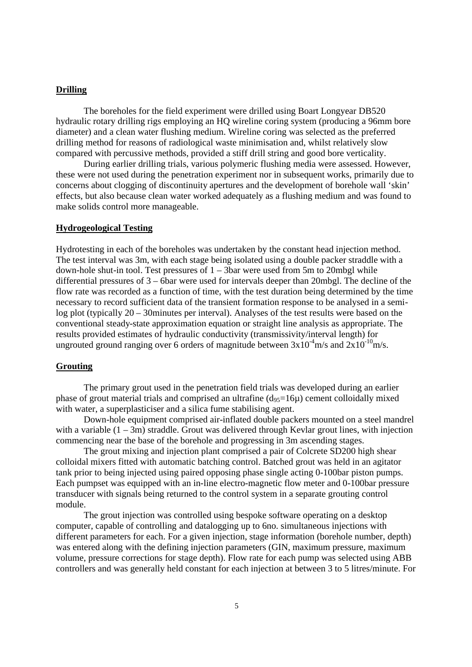### **Drilling**

The boreholes for the field experiment were drilled using Boart Longyear DB520 hydraulic rotary drilling rigs employing an HQ wireline coring system (producing a 96mm bore diameter) and a clean water flushing medium. Wireline coring was selected as the preferred drilling method for reasons of radiological waste minimisation and, whilst relatively slow compared with percussive methods, provided a stiff drill string and good bore verticality.

During earlier drilling trials, various polymeric flushing media were assessed. However, these were not used during the penetration experiment nor in subsequent works, primarily due to concerns about clogging of discontinuity apertures and the development of borehole wall 'skin' effects, but also because clean water worked adequately as a flushing medium and was found to make solids control more manageable.

## **Hydrogeological Testing**

Hydrotesting in each of the boreholes was undertaken by the constant head injection method. The test interval was 3m, with each stage being isolated using a double packer straddle with a down-hole shut-in tool. Test pressures of  $1 - 3$ bar were used from 5m to 20mbgl while differential pressures of 3 – 6bar were used for intervals deeper than 20mbgl. The decline of the flow rate was recorded as a function of time, with the test duration being determined by the time necessary to record sufficient data of the transient formation response to be analysed in a semilog plot (typically 20 – 30minutes per interval). Analyses of the test results were based on the conventional steady-state approximation equation or straight line analysis as appropriate. The results provided estimates of hydraulic conductivity (transmissivity/interval length) for ungrouted ground ranging over 6 orders of magnitude between  $3x10^{-4}$ m/s and  $2x10^{-10}$ m/s.

### **Grouting**

The primary grout used in the penetration field trials was developed during an earlier phase of grout material trials and comprised an ultrafine  $(d_{95}=16\mu)$  cement colloidally mixed with water, a superplasticiser and a silica fume stabilising agent.

Down-hole equipment comprised air-inflated double packers mounted on a steel mandrel with a variable  $(1 - 3m)$  straddle. Grout was delivered through Kevlar grout lines, with injection commencing near the base of the borehole and progressing in 3m ascending stages.

The grout mixing and injection plant comprised a pair of Colcrete SD200 high shear colloidal mixers fitted with automatic batching control. Batched grout was held in an agitator tank prior to being injected using paired opposing phase single acting 0-100bar piston pumps. Each pumpset was equipped with an in-line electro-magnetic flow meter and 0-100bar pressure transducer with signals being returned to the control system in a separate grouting control module.

The grout injection was controlled using bespoke software operating on a desktop computer, capable of controlling and datalogging up to 6no. simultaneous injections with different parameters for each. For a given injection, stage information (borehole number, depth) was entered along with the defining injection parameters (GIN, maximum pressure, maximum volume, pressure corrections for stage depth). Flow rate for each pump was selected using ABB controllers and was generally held constant for each injection at between 3 to 5 litres/minute. For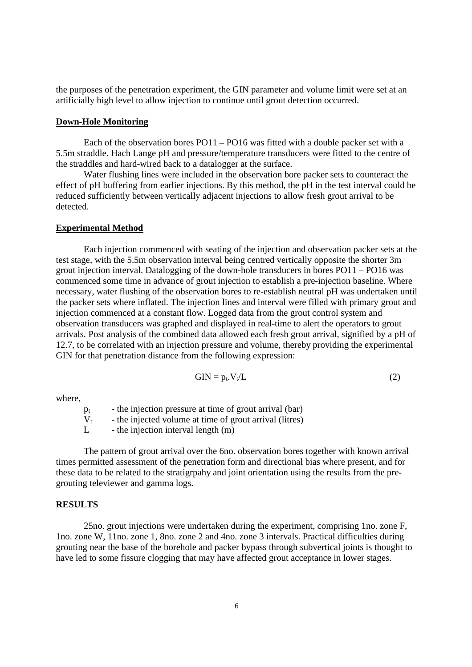the purposes of the penetration experiment, the GIN parameter and volume limit were set at an artificially high level to allow injection to continue until grout detection occurred.

#### **Down-Hole Monitoring**

Each of the observation bores PO11 – PO16 was fitted with a double packer set with a 5.5m straddle. Hach Lange pH and pressure/temperature transducers were fitted to the centre of the straddles and hard-wired back to a datalogger at the surface.

Water flushing lines were included in the observation bore packer sets to counteract the effect of pH buffering from earlier injections. By this method, the pH in the test interval could be reduced sufficiently between vertically adjacent injections to allow fresh grout arrival to be detected.

#### **Experimental Method**

Each injection commenced with seating of the injection and observation packer sets at the test stage, with the 5.5m observation interval being centred vertically opposite the shorter 3m grout injection interval. Datalogging of the down-hole transducers in bores PO11 – PO16 was commenced some time in advance of grout injection to establish a pre-injection baseline. Where necessary, water flushing of the observation bores to re-establish neutral pH was undertaken until the packer sets where inflated. The injection lines and interval were filled with primary grout and injection commenced at a constant flow. Logged data from the grout control system and observation transducers was graphed and displayed in real-time to alert the operators to grout arrivals. Post analysis of the combined data allowed each fresh grout arrival, signified by a pH of 12.7, to be correlated with an injection pressure and volume, thereby providing the experimental GIN for that penetration distance from the following expression:

$$
GIN = p_t.V_t/L
$$
 (2)

where,

 $p_t$  - the injection pressure at time of grout arrival (bar)

 $V_t$  - the injected volume at time of grout arrival (litres)<br>  $L$  - the injection interval length (m)

- the injection interval length  $(m)$ 

The pattern of grout arrival over the 6no. observation bores together with known arrival times permitted assessment of the penetration form and directional bias where present, and for these data to be related to the stratigrpahy and joint orientation using the results from the pregrouting televiewer and gamma logs.

#### **RESULTS**

25no. grout injections were undertaken during the experiment, comprising 1no. zone F, 1no. zone W, 11no. zone 1, 8no. zone 2 and 4no. zone 3 intervals. Practical difficulties during grouting near the base of the borehole and packer bypass through subvertical joints is thought to have led to some fissure clogging that may have affected grout acceptance in lower stages.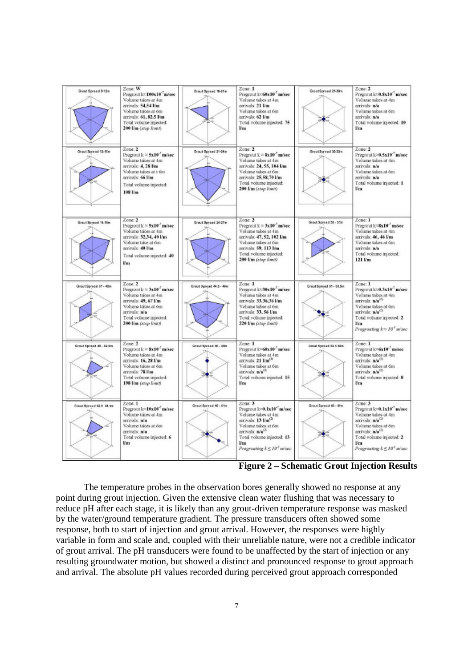| Grout Spread 9-12m      | Zone: W<br>Pregrout k <sup>2</sup> 100x10 m/sec<br>Volume takes at 4m<br>arrivals: 54,54 Vm<br>Volume takes at 6m<br>arrivals: 61, 82.5 Vm<br>Total volume injected:<br>200 Vm (stop limit) | Grout Spread 18-21m     | Zone: 1<br>Pregrout k <sup>o</sup> 60x10 <sup>-7</sup> m/sec<br>Volume takes at 4m<br>arrivals: 21 Vm<br>Volume takes at 6m<br>arrivals: 62 Vm<br>Total volume injected: 75<br>1/m                                                                            | GroutSpread 27-30m      | Zone: 2<br>Pregrout lc=0.8x10 <sup>-7</sup> m/sec<br>Volume takes at 4m<br>arrivals: n/a<br>Volume takes at 6m<br>arrivals: n/a<br>Total volume injected: 10<br>l/m                                                                                     |
|-------------------------|---------------------------------------------------------------------------------------------------------------------------------------------------------------------------------------------|-------------------------|---------------------------------------------------------------------------------------------------------------------------------------------------------------------------------------------------------------------------------------------------------------|-------------------------|---------------------------------------------------------------------------------------------------------------------------------------------------------------------------------------------------------------------------------------------------------|
| Grout Spread 12-15m     | Zone: 2<br>Pregrout $k \approx 5x10^{-7}$ m/sec<br>Volume takes at 4m<br>arrivals: 4, 28 Um<br>Volume takes at t 6m<br>arrivals: 66 Um<br>Total volume injected:<br>108 Vm                  | Grout Spread 21-24m     | Zone: 2<br><b>Pregrout</b> $k \approx 8x10^{-7}$ m/sec<br>Volume takes at 4m<br>arrivals: 24, 55, 104 l/m<br>Volume takes at 6m<br>arrivals: 25.58.70 l/m<br>Total volume injected:<br>200 Vm (stop limit)                                                    | GroutSpread 30-33m      | Zone: 2<br>Pregrout k=0.5x10 <sup>-7</sup> m/sec<br>Volume takes at 4m<br>arrivals: n/a<br>Volume takes at 6m<br>amivals n/a<br>Total volume injected: 1<br>Vm                                                                                          |
| Greut Spread 15-18m     | Zone: 2<br>Pregrout $k \approx 9x10^{-7}$ m/sec<br>Volume takes at 4m<br>arrivals: 32.34, 40 l/m<br>Volume take at 6m<br>arrivals: 40 Um<br>Total volume injected: 40<br><b>Um</b>          | Grout Spread 24-27m     | Zone: 2<br>Pregrout $k \approx 3 \times 10^{-7}$ m/sec<br>Volume takes at 4m<br>arrivals: 47, 52, 102 Um<br>Volume takes at 6m<br>arrivals: 59, 113 I/m<br>Total volume injected:<br>200 Vm (stop limit)                                                      | Grout Spread 33 - 33m   | Zone: 1<br>Pregrout k=8x10 <sup>-3</sup> m/sec<br>Volume takes at 4m<br>arrivals: 46, 46 Vm<br>Volume takes at 6m<br>amivals n/a<br>Total volume injected:<br>121 Vm                                                                                    |
| Grout Spread 37 - 40m   | Zone: 2<br>Pregrout $k \approx 3\pi 10^{-7}$ m/sec<br>Volume takes at 4m<br>arrivals: 49, 67 Vm<br>Volume takes at 6m<br>arrivals: n'a<br>Total volume injected:<br>200 Vm (stop limit)     | Grout Spread 44.5 - 46m | Zone: 1<br>Pregrout k <sup>2</sup> 30x10 <sup>-1</sup> m/sec<br>Volume takes at 4m<br>arrivals: 33,36,36 l/m<br>Volume takes at 6m<br>arrivals: 33, 56 Um<br>Total volume injected;<br>220 Vm (stop limit)                                                    | Grout Spread 51 - 53.5m | Zone: 1<br>Pregrout k <sup>120</sup> .3x10 <sup>c7</sup> m/sec<br>Volume takes at 4m<br>arrivals: n/a <sup>(2)</sup><br>Volume takes at 6m<br>arrivals: n/a <sup>(2)</sup><br>Total volume injected: 2<br>l/m<br>Progrowting k ≈ 10 <sup>°</sup> m/sec  |
| Grout Spread 40 - 42.5m | Zone: 2<br>Pregrout $k = 8x10^{-1}$ m/sec<br>Volume takes at 4m<br>arrivals: 16, 28 Vm<br>Volume takes at 6m<br>arrivals: 78 Vm<br>Total volume injected:<br>198 Vm (stop limit)            | Grout Scread 46 - 48m   | Zone: 1<br>Pregrout k=60x10 <sup>-7</sup> m/sec<br>Volume takes at 4m<br>arrivals: 21 Vm <sup>(b)</sup><br>Volume takes at 6m<br>arrivals: n/a <sup>G</sup><br>Total volume injected: 15<br><b>Um</b>                                                         | Grout Spread 53.5 56m   | Zone: 1<br>Pregrout k=6x10 <sup>-3</sup> m/sec<br>Volume takes at 4m<br>arrivals: n/a <sup>(f)</sup><br>Volume takes at 6m.<br>arrivals: n/a <sup>ct)</sup><br>Total volume injected: 8<br>I/m                                                          |
| Grout Boroad 42.5 44.9m | Zone: 1<br>Pregrout k <sup>o</sup> 10x10 <sup>c</sup> m/sec<br>Volume takes at 4m<br>arrivals: n'a<br>Volume takes at 6m<br>arrivals: n'a<br>Total volume injected: 6<br><b>Vm</b>          | Grout Spread 49 - 61m   | Zone: 3<br>Pregrout k <sup>o</sup> 0.1x10 <sup>-7</sup> m/sec-<br>Volume takes at 4m<br>arrivals: 13 Vm <sup>(2)</sup><br>Volume takes at 6m<br>arrivals: n/a <sup>(2)</sup><br>Total volume injected: 13<br><b>I/m</b><br>Pregranting $k \leq 10^{-1}$ m/sec | Grout Spread 50 - Sfm   | Zone: 3<br>Progrout k <sup>o.0</sup> .1x10 <sup>-7</sup> m/sec<br>Volume takes at 4m<br>arrivals: n/a <sup>(2)</sup><br>Volume takes at 6m<br>arrivals: n/a <sup>(2)</sup><br>Total volume injected: 2<br><b>I/m</b><br>Pregroating $k \leq 10^3$ m/sec |

**Figure 2 – Schematic Grout Injection Results**

The temperature probes in the observation bores generally showed no response at any point during grout injection. Given the extensive clean water flushing that was necessary to reduce pH after each stage, it is likely than any grout-driven temperature response was masked by the water/ground temperature gradient. The pressure transducers often showed some response, both to start of injection and grout arrival. However, the responses were highly variable in form and scale and, coupled with their unreliable nature, were not a credible indicator of grout arrival. The pH transducers were found to be unaffected by the start of injection or any resulting groundwater motion, but showed a distinct and pronounced response to grout approach and arrival. The absolute pH values recorded during perceived grout approach corresponded